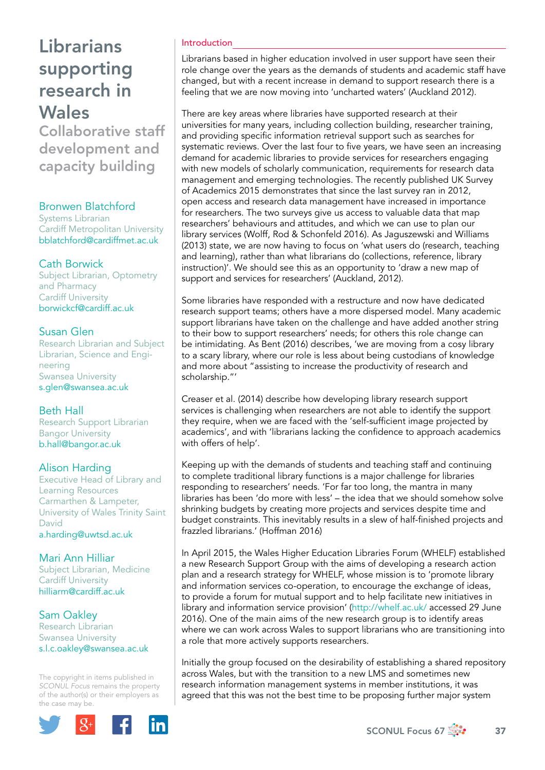Collaborative staff development and capacity building

#### Bronwen Blatchford

Systems Librarian Cardiff Metropolitan University [bblatchford@cardiffmet.ac.uk](mailto:bblatchford@cardiffmet.ac.uk)

### Cath Borwick

Subject Librarian, Optometry and Pharmacy Cardiff University [borwickcf@cardiff.ac.uk](mailto:borwickcf@cardiff.ac.uk)

### Susan Glen

Research Librarian and Subject Librarian, Science and Engineering Swansea University [s.glen@swansea.ac.uk](mailto:s.glen@swansea.ac.uk)

#### Beth Hall

Research Support Librarian Bangor University [b.hall@bangor.ac.uk](mailto:b.hall@bangor.ac.uk)

## Alison Harding

Executive Head of Library and Learning Resources Carmarthen & Lampeter, University of Wales Trinity Saint David [a.harding@uwtsd.ac.uk](mailto:a.harding@uwtsd.ac.uk)

Mari Ann Hilliar Subject Librarian, Medicine Cardiff University [hilliarm@cardiff.ac.uk](mailto:hilliarm@cardiff.ac.uk)

Sam Oakley Research Librarian Swansea University [s.l.c.oakley@swansea.ac.uk](mailto:s.l.c.oakley@swansea.ac.uk)

The copyright in items published in *SCONUL Focus* remains the property of the author(s) or their employers as the case may be.



#### Introduction

Librarians based in higher education involved in user support have seen their role change over the years as the demands of students and academic staff have changed, but with a recent increase in demand to support research there is a feeling that we are now moving into 'uncharted waters' (Auckland 2012).

There are key areas where libraries have supported research at their universities for many years, including collection building, researcher training, and providing specific information retrieval support such as searches for systematic reviews. Over the last four to five years, we have seen an increasing demand for academic libraries to provide services for researchers engaging with new models of scholarly communication, requirements for research data management and emerging technologies. The recently published UK Survey of Academics 2015 demonstrates that since the last survey ran in 2012, open access and research data management have increased in importance for researchers. The two surveys give us access to valuable data that map researchers' behaviours and attitudes, and which we can use to plan our library services (Wolff, Rod & Schonfeld 2016). As Jaguszewski and Williams (2013) state, we are now having to focus on 'what users do (research, teaching and learning), rather than what librarians do (collections, reference, library instruction)'. We should see this as an opportunity to 'draw a new map of support and services for researchers' (Auckland, 2012).

Some libraries have responded with a restructure and now have dedicated research support teams; others have a more dispersed model. Many academic support librarians have taken on the challenge and have added another string to their bow to support researchers' needs; for others this role change can be intimidating. As Bent (2016) describes, 'we are moving from a cosy library to a scary library, where our role is less about being custodians of knowledge and more about "assisting to increase the productivity of research and scholarship."'

Creaser et al. (2014) describe how developing library research support services is challenging when researchers are not able to identify the support they require, when we are faced with the 'self-sufficient image projected by academics', and with 'librarians lacking the confidence to approach academics with offers of help'.

Keeping up with the demands of students and teaching staff and continuing to complete traditional library functions is a major challenge for libraries responding to researchers' needs. 'For far too long, the mantra in many libraries has been 'do more with less' – the idea that we should somehow solve shrinking budgets by creating more projects and services despite time and budget constraints. This inevitably results in a slew of half-finished projects and frazzled librarians.' (Hoffman 2016)

In April 2015, the Wales Higher Education Libraries Forum (WHELF) established a new Research Support Group with the aims of developing a research action plan and a research strategy for WHELF, whose mission is to 'promote library and information services co-operation, to encourage the exchange of ideas, to provide a forum for mutual support and to help facilitate new initiatives in library and information service provision' (<http://whelf.ac.uk/> accessed 29 June 2016). One of the main aims of the new research group is to identify areas where we can work across Wales to support librarians who are transitioning into a role that more actively supports researchers.

Initially the group focused on the desirability of establishing a shared repository across Wales, but with the transition to a new LMS and sometimes new research information management systems in member institutions, it was agreed that this was not the best time to be proposing further major system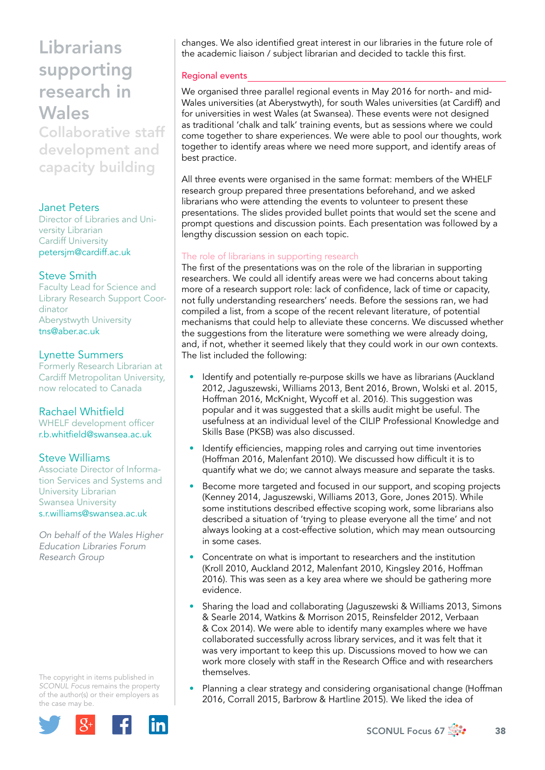Collaborative staff development and capacity building

### Janet Peters

Director of Libraries and University Librarian Cardiff University [petersjm@cardiff.ac.uk](mailto:petersjm@cardiff.ac.uk)

## Steve Smith

Faculty Lead for Science and Library Research Support Coordinator Aberystwyth University [tns@aber.ac.uk](mailto:tns@aber.ac.uk)

### Lynette Summers

Formerly Research Librarian at Cardiff Metropolitan University, now relocated to Canada

## Rachael Whitfield

WHELF development officer [r.b.whitfield@swansea.ac.uk](mailto:r.b.whitfield@swansea.ac.uk)

## Steve Williams

Associate Director of Information Services and Systems and University Librarian Swansea University [s.r.williams@swansea.ac.uk](mailto:s.r.williams@swansea.ac.uk)

*On behalf of the Wales Higher Education Libraries Forum Research Group*

The copyright in items published in *SCONUL Focus* remains the property of the author(s) or their employers as the case may be.



changes. We also identified great interest in our libraries in the future role of the academic liaison / subject librarian and decided to tackle this first.

### Regional events

We organised three parallel regional events in May 2016 for north- and mid-Wales universities (at Aberystwyth), for south Wales universities (at Cardiff) and for universities in west Wales (at Swansea). These events were not designed as traditional 'chalk and talk' training events, but as sessions where we could come together to share experiences. We were able to pool our thoughts, work together to identify areas where we need more support, and identify areas of best practice.

All three events were organised in the same format: members of the WHELF research group prepared three presentations beforehand, and we asked librarians who were attending the events to volunteer to present these presentations. The slides provided bullet points that would set the scene and prompt questions and discussion points. Each presentation was followed by a lengthy discussion session on each topic.

#### The role of librarians in supporting research

The first of the presentations was on the role of the librarian in supporting researchers. We could all identify areas were we had concerns about taking more of a research support role: lack of confidence, lack of time or capacity, not fully understanding researchers' needs. Before the sessions ran, we had compiled a list, from a scope of the recent relevant literature, of potential mechanisms that could help to alleviate these concerns. We discussed whether the suggestions from the literature were something we were already doing, and, if not, whether it seemed likely that they could work in our own contexts. The list included the following:

- Identify and potentially re-purpose skills we have as librarians (Auckland 2012, Jaguszewski, Williams 2013, Bent 2016, Brown, Wolski et al. 2015, Hoffman 2016, McKnight, Wycoff et al. 2016). This suggestion was popular and it was suggested that a skills audit might be useful. The usefulness at an individual level of the CILIP Professional Knowledge and Skills Base (PKSB) was also discussed.
- Identify efficiencies, mapping roles and carrying out time inventories (Hoffman 2016, Malenfant 2010). We discussed how difficult it is to quantify what we do; we cannot always measure and separate the tasks.
- Become more targeted and focused in our support, and scoping projects (Kenney 2014, Jaguszewski, Williams 2013, Gore, Jones 2015). While some institutions described effective scoping work, some librarians also described a situation of 'trying to please everyone all the time' and not always looking at a cost-effective solution, which may mean outsourcing in some cases.
- Concentrate on what is important to researchers and the institution (Kroll 2010, Auckland 2012, Malenfant 2010, Kingsley 2016, Hoffman 2016). This was seen as a key area where we should be gathering more evidence.
- Sharing the load and collaborating (Jaguszewski & Williams 2013, Simons & Searle 2014, Watkins & Morrison 2015, Reinsfelder 2012, Verbaan & Cox 2014). We were able to identify many examples where we have collaborated successfully across library services, and it was felt that it was very important to keep this up. Discussions moved to how we can work more closely with staff in the Research Office and with researchers themselves.
- Planning a clear strategy and considering organisational change (Hoffman 2016, Corrall 2015, Barbrow & Hartline 2015). We liked the idea of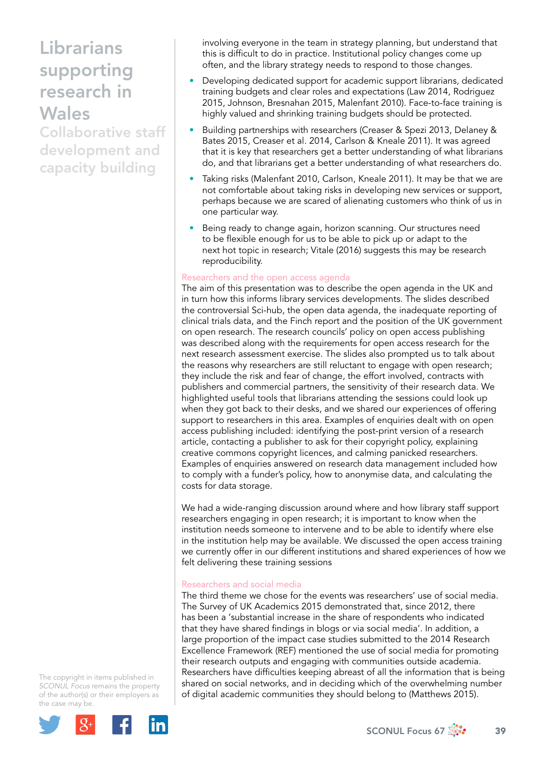Collaborative staff development and capacity building

involving everyone in the team in strategy planning, but understand that this is difficult to do in practice. Institutional policy changes come up often, and the library strategy needs to respond to those changes.

- Developing dedicated support for academic support librarians, dedicated training budgets and clear roles and expectations (Law 2014, Rodriguez 2015, Johnson, Bresnahan 2015, Malenfant 2010). Face-to-face training is highly valued and shrinking training budgets should be protected.
- Building partnerships with researchers (Creaser & Spezi 2013, Delaney & Bates 2015, Creaser et al. 2014, Carlson & Kneale 2011). It was agreed that it is key that researchers get a better understanding of what librarians do, and that librarians get a better understanding of what researchers do.
- Taking risks (Malenfant 2010, Carlson, Kneale 2011). It may be that we are not comfortable about taking risks in developing new services or support, perhaps because we are scared of alienating customers who think of us in one particular way.
- Being ready to change again, horizon scanning. Our structures need to be flexible enough for us to be able to pick up or adapt to the next hot topic in research; Vitale (2016) suggests this may be research reproducibility.

#### Researchers and the open access agenda

The aim of this presentation was to describe the open agenda in the UK and in turn how this informs library services developments. The slides described the controversial Sci-hub, the open data agenda, the inadequate reporting of clinical trials data, and the Finch report and the position of the UK government on open research. The research councils' policy on open access publishing was described along with the requirements for open access research for the next research assessment exercise. The slides also prompted us to talk about the reasons why researchers are still reluctant to engage with open research; they include the risk and fear of change, the effort involved, contracts with publishers and commercial partners, the sensitivity of their research data. We highlighted useful tools that librarians attending the sessions could look up when they got back to their desks, and we shared our experiences of offering support to researchers in this area. Examples of enquiries dealt with on open access publishing included: identifying the post-print version of a research article, contacting a publisher to ask for their copyright policy, explaining creative commons copyright licences, and calming panicked researchers. Examples of enquiries answered on research data management included how to comply with a funder's policy, how to anonymise data, and calculating the costs for data storage.

We had a wide-ranging discussion around where and how library staff support researchers engaging in open research; it is important to know when the institution needs someone to intervene and to be able to identify where else in the institution help may be available. We discussed the open access training we currently offer in our different institutions and shared experiences of how we felt delivering these training sessions

#### Researchers and social media

The third theme we chose for the events was researchers' use of social media. The Survey of UK Academics 2015 demonstrated that, since 2012, there has been a 'substantial increase in the share of respondents who indicated that they have shared findings in blogs or via social media'. In addition, a large proportion of the impact case studies submitted to the 2014 Research Excellence Framework (REF) mentioned the use of social media for promoting their research outputs and engaging with communities outside academia. Researchers have difficulties keeping abreast of all the information that is being shared on social networks, and in deciding which of the overwhelming number of digital academic communities they should belong to (Matthews 2015).

The copyright in items published in *SCONUL Focus* remains the property of the author(s) or their employers as the case may be.

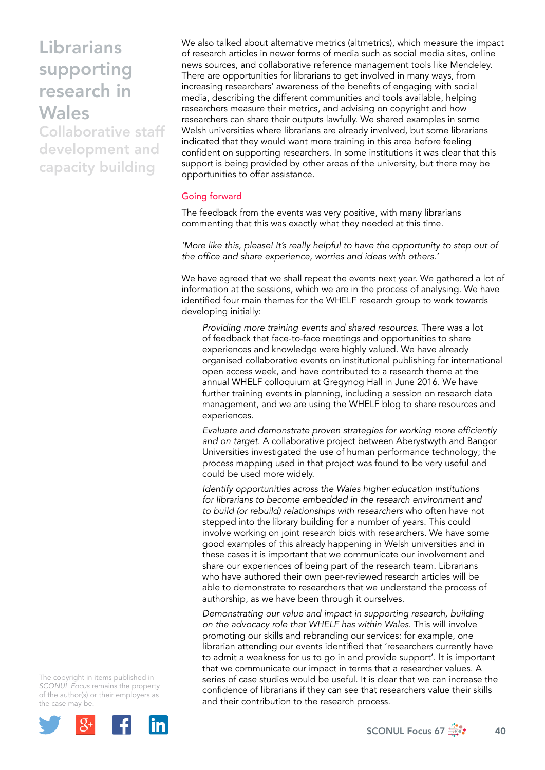Collaborative staff development and capacity building

We also talked about alternative metrics (altmetrics), which measure the impact of research articles in newer forms of media such as social media sites, online news sources, and collaborative reference management tools like Mendeley. There are opportunities for librarians to get involved in many ways, from increasing researchers' awareness of the benefits of engaging with social media, describing the different communities and tools available, helping researchers measure their metrics, and advising on copyright and how researchers can share their outputs lawfully. We shared examples in some Welsh universities where librarians are already involved, but some librarians indicated that they would want more training in this area before feeling confident on supporting researchers. In some institutions it was clear that this support is being provided by other areas of the university, but there may be opportunities to offer assistance.

#### Going forward

The feedback from the events was very positive, with many librarians commenting that this was exactly what they needed at this time.

*'More like this, please! It's really helpful to have the opportunity to step out of the office and share experience, worries and ideas with others.'*

We have agreed that we shall repeat the events next year. We gathered a lot of information at the sessions, which we are in the process of analysing. We have identified four main themes for the WHELF research group to work towards developing initially:

*Providing more training events and shared resources*. There was a lot of feedback that face-to-face meetings and opportunities to share experiences and knowledge were highly valued. We have already organised collaborative events on institutional publishing for international open access week, and have contributed to a research theme at the annual WHELF colloquium at Gregynog Hall in June 2016. We have further training events in planning, including a session on research data management, and we are using the WHELF blog to share resources and experiences.

*Evaluate and demonstrate proven strategies for working more efficiently and on target*. A collaborative project between Aberystwyth and Bangor Universities investigated the use of human performance technology; the process mapping used in that project was found to be very useful and could be used more widely.

*Identify opportunities across the Wales higher education institutions for librarians to become embedded in the research environment and to build (or rebuild) relationships with researchers* who often have not stepped into the library building for a number of years. This could involve working on joint research bids with researchers. We have some good examples of this already happening in Welsh universities and in these cases it is important that we communicate our involvement and share our experiences of being part of the research team. Librarians who have authored their own peer-reviewed research articles will be able to demonstrate to researchers that we understand the process of authorship, as we have been through it ourselves.

*Demonstrating our value and impact in supporting research, building on the advocacy role that WHELF has within Wales*. This will involve promoting our skills and rebranding our services: for example, one librarian attending our events identified that 'researchers currently have to admit a weakness for us to go in and provide support'. It is important that we communicate our impact in terms that a researcher values. A series of case studies would be useful. It is clear that we can increase the confidence of librarians if they can see that researchers value their skills and their contribution to the research process.

The copyright in items published in *SCONUL Focus* remains the property of the author(s) or their employers as the case may be.

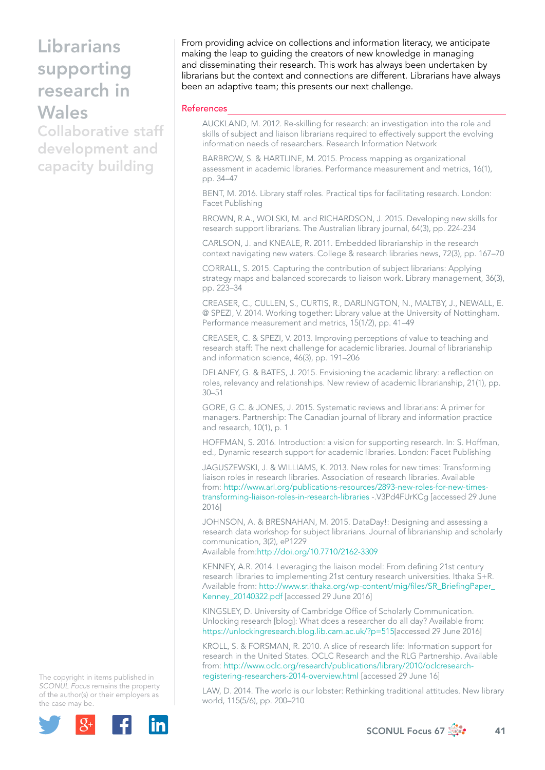Collaborative staff development and capacity building

From providing advice on collections and information literacy, we anticipate making the leap to guiding the creators of new knowledge in managing and disseminating their research. This work has always been undertaken by librarians but the context and connections are different. Librarians have always been an adaptive team; this presents our next challenge.

#### References

AUCKLAND, M. 2012. Re-skilling for research: an investigation into the role and skills of subject and liaison librarians required to effectively support the evolving information needs of researchers. Research Information Network

BARBROW, S. & HARTLINE, M. 2015. Process mapping as organizational assessment in academic libraries. Performance measurement and metrics, 16(1), pp. 34–47

BENT, M. 2016. Library staff roles. Practical tips for facilitating research. London: Facet Publishing

BROWN, R.A., WOLSKI, M. and RICHARDSON, J. 2015. Developing new skills for research support librarians. The Australian library journal, 64(3), pp. 224-234

CARLSON, J. and KNEALE, R. 2011. Embedded librarianship in the research context navigating new waters. College & research libraries news, 72(3), pp. 167–70

CORRALL, S. 2015. Capturing the contribution of subject librarians: Applying strategy maps and balanced scorecards to liaison work. Library management, 36(3), pp. 223–34

CREASER, C., CULLEN, S., CURTIS, R., DARLINGTON, N., MALTBY, J., NEWALL, E. @ SPEZI, V. 2014. Working together: Library value at the University of Nottingham. Performance measurement and metrics, 15(1/2), pp. 41–49

CREASER, C. & SPEZI, V. 2013. Improving perceptions of value to teaching and research staff: The next challenge for academic libraries. Journal of librarianship and information science, 46(3), pp. 191–206

DELANEY, G. & BATES, J. 2015. Envisioning the academic library: a reflection on roles, relevancy and relationships. New review of academic librarianship, 21(1), pp. 30–51

GORE, G.C. & JONES, J. 2015. Systematic reviews and librarians: A primer for managers. Partnership: The Canadian journal of library and information practice and research, 10(1), p. 1

HOFFMAN, S. 2016. Introduction: a vision for supporting research. In: S. Hoffman, ed., Dynamic research support for academic libraries. London: Facet Publishing

JAGUSZEWSKI, J. & WILLIAMS, K. 2013. New roles for new times: Transforming liaison roles in research libraries. Association of research libraries. Available from: http://www.arl.org/publications-resources/2893-new-roles-for-new-timestransforming-liaison-roles-in-research-libraries -.V3Pd4FUrKCg [accessed 29 June 2016]

JOHNSON, A. & BRESNAHAN, M. 2015. DataDay!: Designing and assessing a research data workshop for subject librarians. Journal of librarianship and scholarly communication, 3(2), eP1229

Available from:<http://doi.org/10.7710/2162-3309>

KENNEY, A.R. 2014. Leveraging the liaison model: From defining 21st century research libraries to implementing 21st century research universities. Ithaka S+R. Available from: [http://www.sr.ithaka.org/wp-content/mig/files/SR\\_BriefingPaper\\_](http://www.sr.ithaka.org/wp-content/mig/files/SR_BriefingPaper_Kenney_20140322.pdf) [Kenney\\_20140322.pdf](http://www.sr.ithaka.org/wp-content/mig/files/SR_BriefingPaper_Kenney_20140322.pdf) [accessed 29 June 2016]

KINGSLEY, D. University of Cambridge Office of Scholarly Communication. Unlocking research [blog]: What does a researcher do all day? Available from: [https://unlockingresearch.blog.lib.cam.ac.uk/?p=515\[](https://unlockingresearch.blog.lib.cam.ac.uk/?p=515)accessed 29 June 2016]

KROLL, S. & FORSMAN, R. 2010. A slice of research life: Information support for research in the United States. OCLC Research and the RLG Partnership. Available from: [http://www.oclc.org/research/publications/library/2010/oclcresearch](http://www.oclc.org/research/publications/library/2010/oclcresearch-registering-researchers-2014-overview.html)[registering-researchers-2014-overview.html](http://www.oclc.org/research/publications/library/2010/oclcresearch-registering-researchers-2014-overview.html) [accessed 29 June 16]

LAW, D. 2014. The world is our lobster: Rethinking traditional attitudes. New library world, 115(5/6), pp. 200–210

The copyright in items published in *SCONUL Focus* remains the property of the author(s) or their employers as the case may be.



SCONUL Focus 67  $\frac{3}{200}$  41